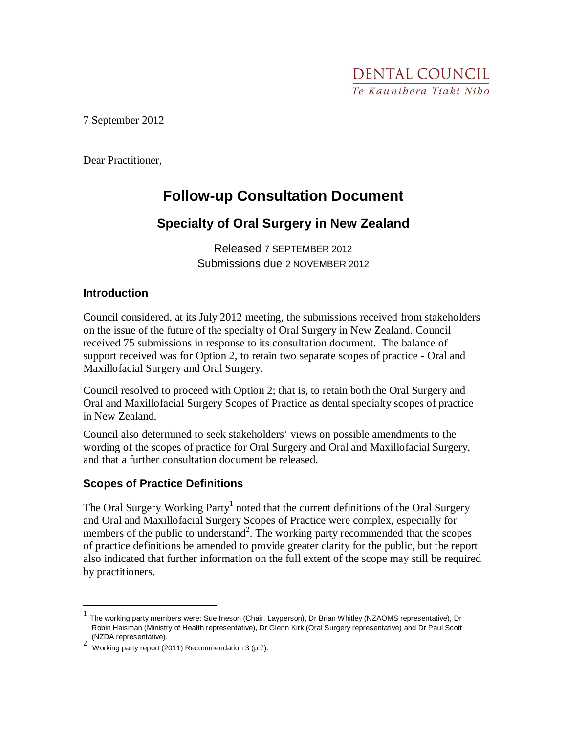7 September 2012

Dear Practitioner,

# **Follow-up Consultation Document**

## **Specialty of Oral Surgery in New Zealand**

Released 7 SEPTEMBER 2012 Submissions due 2 NOVEMBER 2012

#### **Introduction**

 $\overline{a}$ 

Council considered, at its July 2012 meeting, the submissions received from stakeholders on the issue of the future of the specialty of Oral Surgery in New Zealand. Council received 75 submissions in response to its consultation document. The balance of support received was for Option 2, to retain two separate scopes of practice - Oral and Maxillofacial Surgery and Oral Surgery.

Council resolved to proceed with Option 2; that is, to retain both the Oral Surgery and Oral and Maxillofacial Surgery Scopes of Practice as dental specialty scopes of practice in New Zealand.

Council also determined to seek stakeholders' views on possible amendments to the wording of the scopes of practice for Oral Surgery and Oral and Maxillofacial Surgery, and that a further consultation document be released.

#### **Scopes of Practice Definitions**

The Oral Surgery Working Party<sup>1</sup> noted that the current definitions of the Oral Surgery and Oral and Maxillofacial Surgery Scopes of Practice were complex, especially for members of the public to understand<sup>2</sup>. The working party recommended that the scopes of practice definitions be amended to provide greater clarity for the public, but the report also indicated that further information on the full extent of the scope may still be required by practitioners.

<sup>1</sup> The working party members were: Sue Ineson (Chair, Layperson), Dr Brian Whitley (NZAOMS representative), Dr Robin Haisman (Ministry of Health representative), Dr Glenn Kirk (Oral Surgery representative) and Dr Paul Scott (NZDA representative).

<sup>2</sup> Working party report (2011) Recommendation 3 (p.7).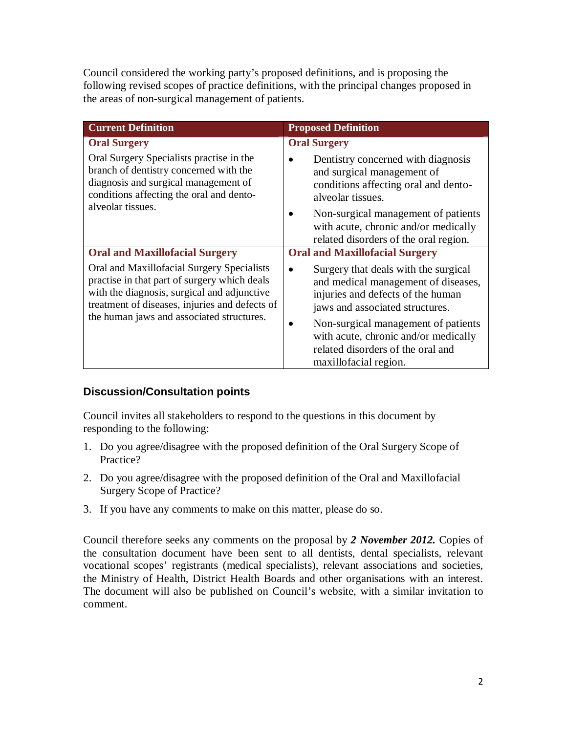Council considered the working party's proposed definitions, and is proposing the following revised scopes of practice definitions, with the principal changes proposed in the areas of non-surgical management of patients.

| <b>Current Definition</b>                                                                                                                                                                                                                | <b>Proposed Definition</b>                                                                                                                          |
|------------------------------------------------------------------------------------------------------------------------------------------------------------------------------------------------------------------------------------------|-----------------------------------------------------------------------------------------------------------------------------------------------------|
| <b>Oral Surgery</b>                                                                                                                                                                                                                      | <b>Oral Surgery</b>                                                                                                                                 |
| Oral Surgery Specialists practise in the<br>branch of dentistry concerned with the<br>diagnosis and surgical management of<br>conditions affecting the oral and dento-<br>alveolar tissues.                                              | Dentistry concerned with diagnosis<br>and surgical management of<br>conditions affecting oral and dento-<br>alveolar tissues.                       |
|                                                                                                                                                                                                                                          | Non-surgical management of patients<br>with acute, chronic and/or medically<br>related disorders of the oral region.                                |
| <b>Oral and Maxillofacial Surgery</b>                                                                                                                                                                                                    | <b>Oral and Maxillofacial Surgery</b>                                                                                                               |
| Oral and Maxillofacial Surgery Specialists<br>practise in that part of surgery which deals<br>with the diagnosis, surgical and adjunctive<br>treatment of diseases, injuries and defects of<br>the human jaws and associated structures. | Surgery that deals with the surgical<br>and medical management of diseases,<br>injuries and defects of the human<br>jaws and associated structures. |
|                                                                                                                                                                                                                                          | Non-surgical management of patients<br>with acute, chronic and/or medically<br>related disorders of the oral and<br>maxillofacial region.           |

### **Discussion/Consultation points**

Council invites all stakeholders to respond to the questions in this document by responding to the following:

- 1. Do you agree/disagree with the proposed definition of the Oral Surgery Scope of Practice?
- 2. Do you agree/disagree with the proposed definition of the Oral and Maxillofacial Surgery Scope of Practice?
- 3. If you have any comments to make on this matter, please do so.

Council therefore seeks any comments on the proposal by *2 November 2012.* Copies of the consultation document have been sent to all dentists, dental specialists, relevant vocational scopes' registrants (medical specialists), relevant associations and societies, the Ministry of Health, District Health Boards and other organisations with an interest. The document will also be published on Council's website, with a similar invitation to comment.